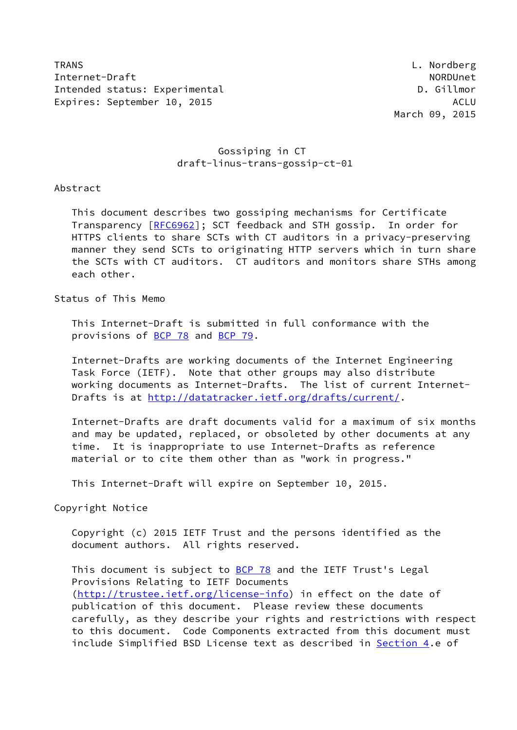TRANS L. Nordberg Internet-Draft North North North North North North North North North North North North North North North North North North North North North North North North North North North North North North North North North North Nor Intended status: Experimental D. Gillmor Expires: September 10, 2015 ACLU

## Gossiping in CT draft-linus-trans-gossip-ct-01

Abstract

 This document describes two gossiping mechanisms for Certificate Transparency [\[RFC6962](https://datatracker.ietf.org/doc/pdf/rfc6962)]; SCT feedback and STH gossip. In order for HTTPS clients to share SCTs with CT auditors in a privacy-preserving manner they send SCTs to originating HTTP servers which in turn share the SCTs with CT auditors. CT auditors and monitors share STHs among each other.

Status of This Memo

 This Internet-Draft is submitted in full conformance with the provisions of [BCP 78](https://datatracker.ietf.org/doc/pdf/bcp78) and [BCP 79](https://datatracker.ietf.org/doc/pdf/bcp79).

 Internet-Drafts are working documents of the Internet Engineering Task Force (IETF). Note that other groups may also distribute working documents as Internet-Drafts. The list of current Internet Drafts is at<http://datatracker.ietf.org/drafts/current/>.

 Internet-Drafts are draft documents valid for a maximum of six months and may be updated, replaced, or obsoleted by other documents at any time. It is inappropriate to use Internet-Drafts as reference material or to cite them other than as "work in progress."

This Internet-Draft will expire on September 10, 2015.

Copyright Notice

 Copyright (c) 2015 IETF Trust and the persons identified as the document authors. All rights reserved.

This document is subject to **[BCP 78](https://datatracker.ietf.org/doc/pdf/bcp78)** and the IETF Trust's Legal Provisions Relating to IETF Documents [\(http://trustee.ietf.org/license-info](http://trustee.ietf.org/license-info)) in effect on the date of publication of this document. Please review these documents carefully, as they describe your rights and restrictions with respect to this document. Code Components extracted from this document must include Simplified BSD License text as described in [Section 4.](#page-6-0)e of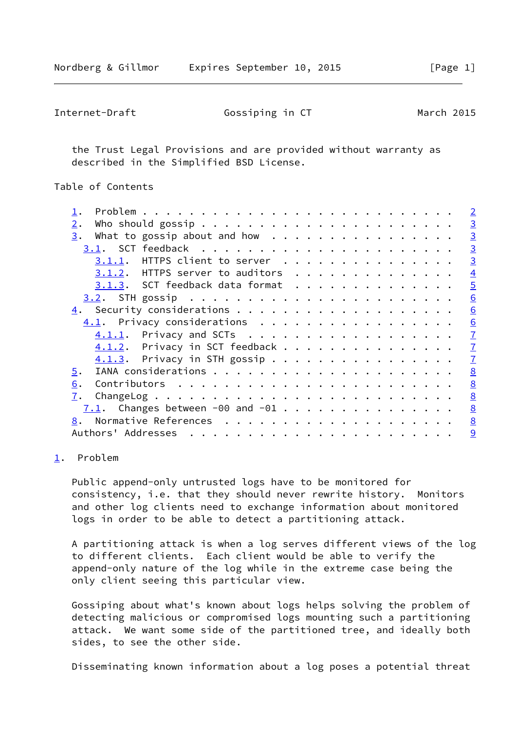<span id="page-1-1"></span>

| Internet-Draft | Gossiping in CT | March 2015 |
|----------------|-----------------|------------|
|----------------|-----------------|------------|

 the Trust Legal Provisions and are provided without warranty as described in the Simplified BSD License.

Table of Contents

|                                                | $\overline{2}$ |
|------------------------------------------------|----------------|
| 2.                                             | $\overline{3}$ |
| 3.                                             | $\overline{3}$ |
|                                                | $\overline{3}$ |
| $3.1.1$ . HTTPS client to server               | $\overline{3}$ |
| $3.1.2$ . HTTPS server to auditors             | $\overline{4}$ |
| 3.1.3. SCT feedback data format                | $\overline{5}$ |
|                                                | 6              |
|                                                | 6              |
| 4.1. Privacy considerations                    | 6              |
| $4.1.1$ . Privacy and SCTs                     | $\overline{1}$ |
| 4.1.2. Privacy in SCT feedback                 | $\overline{1}$ |
| $4.1.3$ . Privacy in STH gossip                | $\overline{1}$ |
| 5.                                             | 8              |
| 6.                                             | 8              |
| 7.                                             | 8              |
| $\overline{7.1}$ . Changes between -00 and -01 | 8              |
|                                                | 8              |
|                                                | $\overline{9}$ |
|                                                |                |

## <span id="page-1-0"></span>[1](#page-1-0). Problem

 Public append-only untrusted logs have to be monitored for consistency, i.e. that they should never rewrite history. Monitors and other log clients need to exchange information about monitored logs in order to be able to detect a partitioning attack.

 A partitioning attack is when a log serves different views of the log to different clients. Each client would be able to verify the append-only nature of the log while in the extreme case being the only client seeing this particular view.

 Gossiping about what's known about logs helps solving the problem of detecting malicious or compromised logs mounting such a partitioning attack. We want some side of the partitioned tree, and ideally both sides, to see the other side.

Disseminating known information about a log poses a potential threat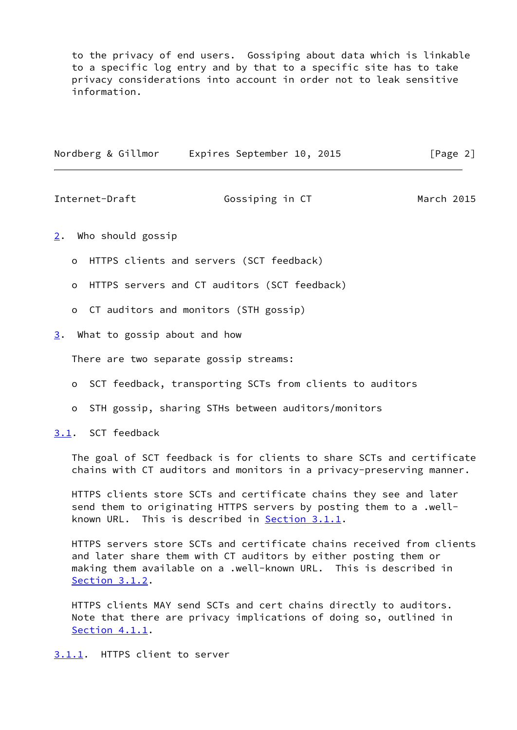to the privacy of end users. Gossiping about data which is linkable to a specific log entry and by that to a specific site has to take privacy considerations into account in order not to leak sensitive information.

| Nordberg & Gillmor |  | Expires September 10, 2015 |  | [Page 2] |  |
|--------------------|--|----------------------------|--|----------|--|
|                    |  |                            |  |          |  |

<span id="page-2-1"></span>Internet-Draft Gossiping in CT March 2015

- <span id="page-2-0"></span>[2](#page-2-0). Who should gossip
	- o HTTPS clients and servers (SCT feedback)
	- o HTTPS servers and CT auditors (SCT feedback)
	- o CT auditors and monitors (STH gossip)
- <span id="page-2-2"></span>[3](#page-2-2). What to gossip about and how

There are two separate gossip streams:

- o SCT feedback, transporting SCTs from clients to auditors
- o STH gossip, sharing STHs between auditors/monitors
- <span id="page-2-3"></span>[3.1](#page-2-3). SCT feedback

 The goal of SCT feedback is for clients to share SCTs and certificate chains with CT auditors and monitors in a privacy-preserving manner.

 HTTPS clients store SCTs and certificate chains they see and later send them to originating HTTPS servers by posting them to a .well known URL. This is described in **Section 3.1.1**.

 HTTPS servers store SCTs and certificate chains received from clients and later share them with CT auditors by either posting them or making them available on a .well-known URL. This is described in [Section 3.1.2](#page-4-0).

 HTTPS clients MAY send SCTs and cert chains directly to auditors. Note that there are privacy implications of doing so, outlined in [Section 4.1.1](#page-6-2).

<span id="page-2-4"></span>[3.1.1](#page-2-4). HTTPS client to server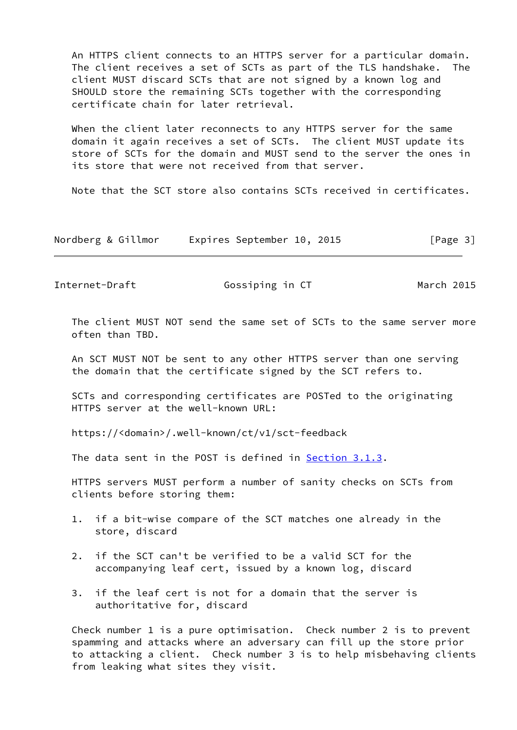An HTTPS client connects to an HTTPS server for a particular domain. The client receives a set of SCTs as part of the TLS handshake. The client MUST discard SCTs that are not signed by a known log and SHOULD store the remaining SCTs together with the corresponding certificate chain for later retrieval.

 When the client later reconnects to any HTTPS server for the same domain it again receives a set of SCTs. The client MUST update its store of SCTs for the domain and MUST send to the server the ones in its store that were not received from that server.

Note that the SCT store also contains SCTs received in certificates.

| Nordberg & Gillmor |  | Expires September 10, 2015 |  |  | [Page 3] |
|--------------------|--|----------------------------|--|--|----------|
|--------------------|--|----------------------------|--|--|----------|

<span id="page-3-0"></span>Internet-Draft Gossiping in CT March 2015

 The client MUST NOT send the same set of SCTs to the same server more often than TBD.

 An SCT MUST NOT be sent to any other HTTPS server than one serving the domain that the certificate signed by the SCT refers to.

 SCTs and corresponding certificates are POSTed to the originating HTTPS server at the well-known URL:

https://<domain>/.well-known/ct/v1/sct-feedback

The data sent in the POST is defined in [Section 3.1.3](#page-4-1).

 HTTPS servers MUST perform a number of sanity checks on SCTs from clients before storing them:

- 1. if a bit-wise compare of the SCT matches one already in the store, discard
- 2. if the SCT can't be verified to be a valid SCT for the accompanying leaf cert, issued by a known log, discard
- 3. if the leaf cert is not for a domain that the server is authoritative for, discard

 Check number 1 is a pure optimisation. Check number 2 is to prevent spamming and attacks where an adversary can fill up the store prior to attacking a client. Check number 3 is to help misbehaving clients from leaking what sites they visit.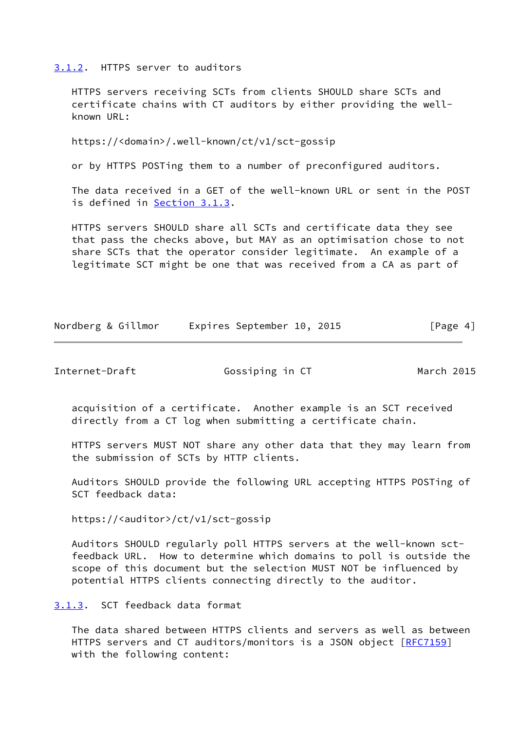<span id="page-4-0"></span>[3.1.2](#page-4-0). HTTPS server to auditors

 HTTPS servers receiving SCTs from clients SHOULD share SCTs and certificate chains with CT auditors by either providing the well known URL:

https://<domain>/.well-known/ct/v1/sct-gossip

or by HTTPS POSTing them to a number of preconfigured auditors.

 The data received in a GET of the well-known URL or sent in the POST is defined in [Section 3.1.3.](#page-4-1)

 HTTPS servers SHOULD share all SCTs and certificate data they see that pass the checks above, but MAY as an optimisation chose to not share SCTs that the operator consider legitimate. An example of a legitimate SCT might be one that was received from a CA as part of

| Nordberg & Gillmor<br>Expires September 10, 2015 | [Page 4] |  |
|--------------------------------------------------|----------|--|
|--------------------------------------------------|----------|--|

<span id="page-4-2"></span>Internet-Draft **Gossiping in CT** March 2015

 acquisition of a certificate. Another example is an SCT received directly from a CT log when submitting a certificate chain.

 HTTPS servers MUST NOT share any other data that they may learn from the submission of SCTs by HTTP clients.

 Auditors SHOULD provide the following URL accepting HTTPS POSTing of SCT feedback data:

https://<auditor>/ct/v1/sct-gossip

 Auditors SHOULD regularly poll HTTPS servers at the well-known sct feedback URL. How to determine which domains to poll is outside the scope of this document but the selection MUST NOT be influenced by potential HTTPS clients connecting directly to the auditor.

<span id="page-4-1"></span>[3.1.3](#page-4-1). SCT feedback data format

 The data shared between HTTPS clients and servers as well as between HTTPS servers and CT auditors/monitors is a JSON object [\[RFC7159](https://datatracker.ietf.org/doc/pdf/rfc7159)] with the following content: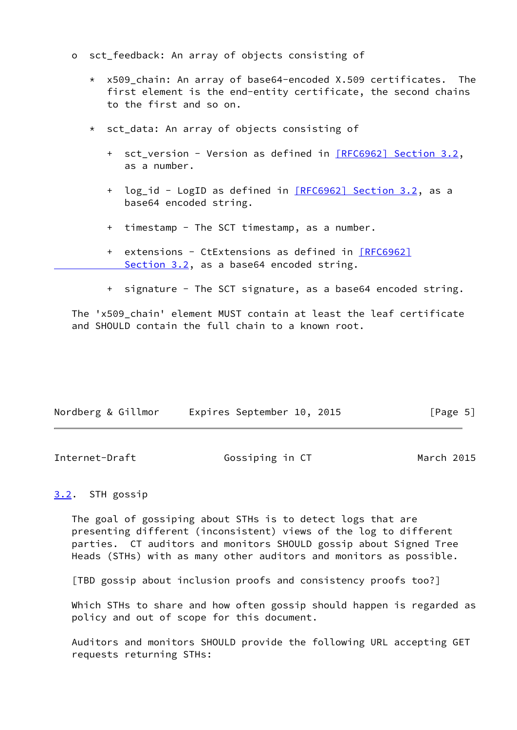- o sct\_feedback: An array of objects consisting of
	- $*$  x509 chain: An array of base64-encoded X.509 certificates. The first element is the end-entity certificate, the second chains to the first and so on.
	- \* sct\_data: An array of objects consisting of
		- + sct\_version Version as defined in [\[RFC6962\] Section](https://datatracker.ietf.org/doc/pdf/rfc6962#section-3.2) 3.2, as a number.
		- + log\_id LogID as defined in [\[RFC6962\] Section](https://datatracker.ietf.org/doc/pdf/rfc6962#section-3.2) 3.2, as a base64 encoded string.
		- + timestamp The SCT timestamp, as a number.
		- + extensions CtExtensions as defined in [\[RFC6962\]](https://datatracker.ietf.org/doc/pdf/rfc6962#section-3.2) Section 3.2, as a base64 encoded string.
		- + signature The SCT signature, as a base64 encoded string.

The 'x509 chain' element MUST contain at least the leaf certificate and SHOULD contain the full chain to a known root.

| Expires September 10, 2015<br>Nordberg & Gillmor | [Page 5] |  |
|--------------------------------------------------|----------|--|
|--------------------------------------------------|----------|--|

<span id="page-5-1"></span>

| Internet-Draft | Gossiping in CT | March 2015 |
|----------------|-----------------|------------|
|----------------|-----------------|------------|

## <span id="page-5-0"></span>[3.2](#page-5-0). STH gossip

 The goal of gossiping about STHs is to detect logs that are presenting different (inconsistent) views of the log to different parties. CT auditors and monitors SHOULD gossip about Signed Tree Heads (STHs) with as many other auditors and monitors as possible.

[TBD gossip about inclusion proofs and consistency proofs too?]

 Which STHs to share and how often gossip should happen is regarded as policy and out of scope for this document.

 Auditors and monitors SHOULD provide the following URL accepting GET requests returning STHs: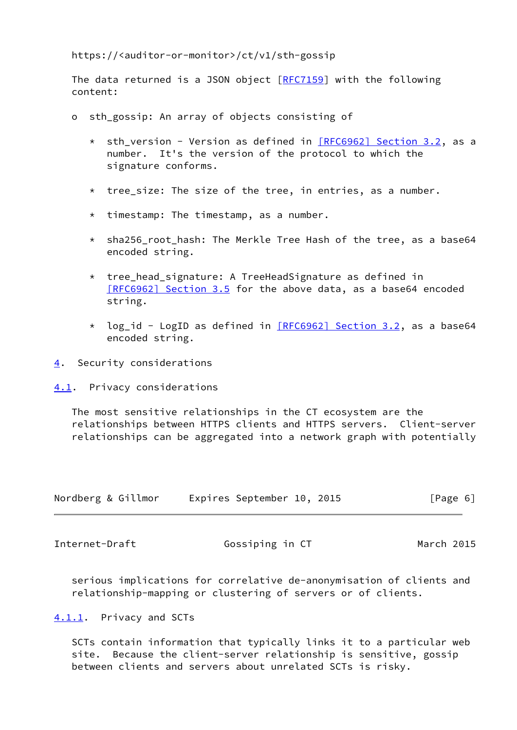https://<auditor-or-monitor>/ct/v1/sth-gossip

 The data returned is a JSON object [[RFC7159\]](https://datatracker.ietf.org/doc/pdf/rfc7159) with the following content:

- o sth gossip: An array of objects consisting of
	- \* sth\_version Version as defined in [\[RFC6962\] Section](https://datatracker.ietf.org/doc/pdf/rfc6962#section-3.2) 3.2, as a number. It's the version of the protocol to which the signature conforms.
	- \* tree\_size: The size of the tree, in entries, as a number.
	- \* timestamp: The timestamp, as a number.
	- $*$  sha256 root hash: The Merkle Tree Hash of the tree, as a base64 encoded string.
	- \* tree head signature: A TreeHeadSignature as defined in [\[RFC6962\] Section](https://datatracker.ietf.org/doc/pdf/rfc6962#section-3.5) 3.5 for the above data, as a base64 encoded string.
	- \* log\_id LogID as defined in [\[RFC6962\] Section](https://datatracker.ietf.org/doc/pdf/rfc6962#section-3.2) 3.2, as a base64 encoded string.
- <span id="page-6-0"></span>[4](#page-6-0). Security considerations

<span id="page-6-1"></span>[4.1](#page-6-1). Privacy considerations

 The most sensitive relationships in the CT ecosystem are the relationships between HTTPS clients and HTTPS servers. Client-server relationships can be aggregated into a network graph with potentially

| Nordberg & Gillmor |  | Expires September 10, 2015 |  |  | [Page 6] |  |
|--------------------|--|----------------------------|--|--|----------|--|
|--------------------|--|----------------------------|--|--|----------|--|

<span id="page-6-3"></span>Internet-Draft **Gossiping in CT** March 2015

 serious implications for correlative de-anonymisation of clients and relationship-mapping or clustering of servers or of clients.

<span id="page-6-2"></span>[4.1.1](#page-6-2). Privacy and SCTs

 SCTs contain information that typically links it to a particular web site. Because the client-server relationship is sensitive, gossip between clients and servers about unrelated SCTs is risky.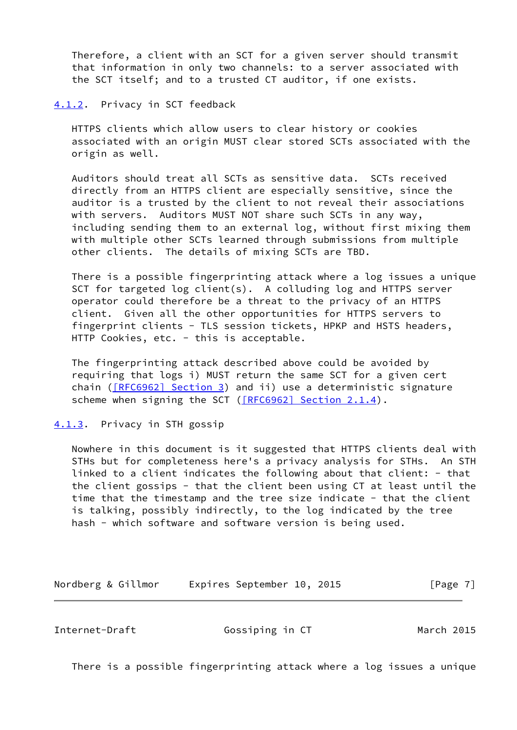Therefore, a client with an SCT for a given server should transmit that information in only two channels: to a server associated with the SCT itself; and to a trusted CT auditor, if one exists.

<span id="page-7-0"></span>[4.1.2](#page-7-0). Privacy in SCT feedback

 HTTPS clients which allow users to clear history or cookies associated with an origin MUST clear stored SCTs associated with the origin as well.

 Auditors should treat all SCTs as sensitive data. SCTs received directly from an HTTPS client are especially sensitive, since the auditor is a trusted by the client to not reveal their associations with servers. Auditors MUST NOT share such SCTs in any way, including sending them to an external log, without first mixing them with multiple other SCTs learned through submissions from multiple other clients. The details of mixing SCTs are TBD.

 There is a possible fingerprinting attack where a log issues a unique SCT for targeted log client(s). A colluding log and HTTPS server operator could therefore be a threat to the privacy of an HTTPS client. Given all the other opportunities for HTTPS servers to fingerprint clients - TLS session tickets, HPKP and HSTS headers, HTTP Cookies, etc. - this is acceptable.

 The fingerprinting attack described above could be avoided by requiring that logs i) MUST return the same SCT for a given cert chain  $($ [\[RFC6962\] Section](https://datatracker.ietf.org/doc/pdf/rfc6962#section-3) 3) and ii) use a deterministic signature scheme when signing the SCT [\(\[RFC6962\] Section](https://datatracker.ietf.org/doc/pdf/rfc6962#section-2.1.4) 2.1.4).

<span id="page-7-1"></span>[4.1.3](#page-7-1). Privacy in STH gossip

 Nowhere in this document is it suggested that HTTPS clients deal with STHs but for completeness here's a privacy analysis for STHs. An STH linked to a client indicates the following about that client: - that the client gossips - that the client been using CT at least until the time that the timestamp and the tree size indicate - that the client is talking, possibly indirectly, to the log indicated by the tree hash - which software and software version is being used.

Nordberg & Gillmor Expires September 10, 2015 [Page 7]

<span id="page-7-2"></span>Internet-Draft Gossiping in CT March 2015

There is a possible fingerprinting attack where a log issues a unique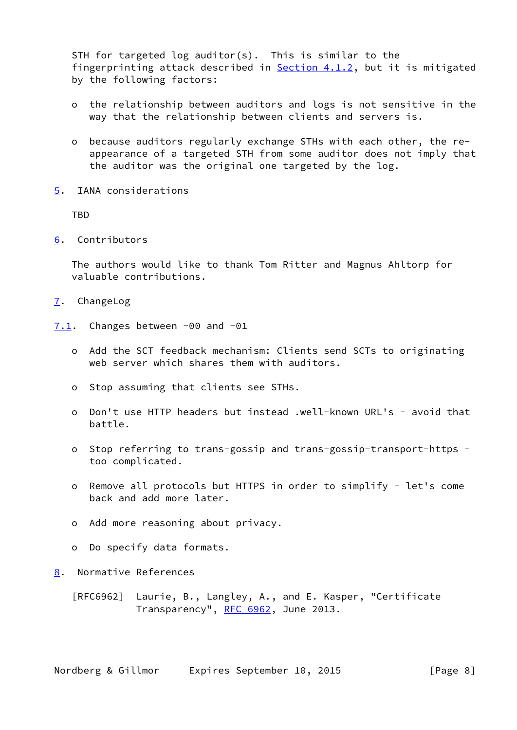STH for targeted log auditor(s). This is similar to the fingerprinting attack described in **Section 4.1.2**, but it is mitigated by the following factors:

- o the relationship between auditors and logs is not sensitive in the way that the relationship between clients and servers is.
- o because auditors regularly exchange STHs with each other, the re appearance of a targeted STH from some auditor does not imply that the auditor was the original one targeted by the log.
- <span id="page-8-0"></span>[5](#page-8-0). IANA considerations

TBD

<span id="page-8-1"></span>[6](#page-8-1). Contributors

 The authors would like to thank Tom Ritter and Magnus Ahltorp for valuable contributions.

- <span id="page-8-2"></span>[7](#page-8-2). ChangeLog
- <span id="page-8-3"></span>[7.1](#page-8-3). Changes between -00 and -01
	- o Add the SCT feedback mechanism: Clients send SCTs to originating web server which shares them with auditors.
	- o Stop assuming that clients see STHs.
	- o Don't use HTTP headers but instead .well-known URL's avoid that battle.
	- o Stop referring to trans-gossip and trans-gossip-transport-https too complicated.
	- o Remove all protocols but HTTPS in order to simplify let's come back and add more later.
	- o Add more reasoning about privacy.
	- o Do specify data formats.
- <span id="page-8-4"></span>[8](#page-8-4). Normative References

 [RFC6962] Laurie, B., Langley, A., and E. Kasper, "Certificate Transparency", [RFC 6962](https://datatracker.ietf.org/doc/pdf/rfc6962), June 2013.